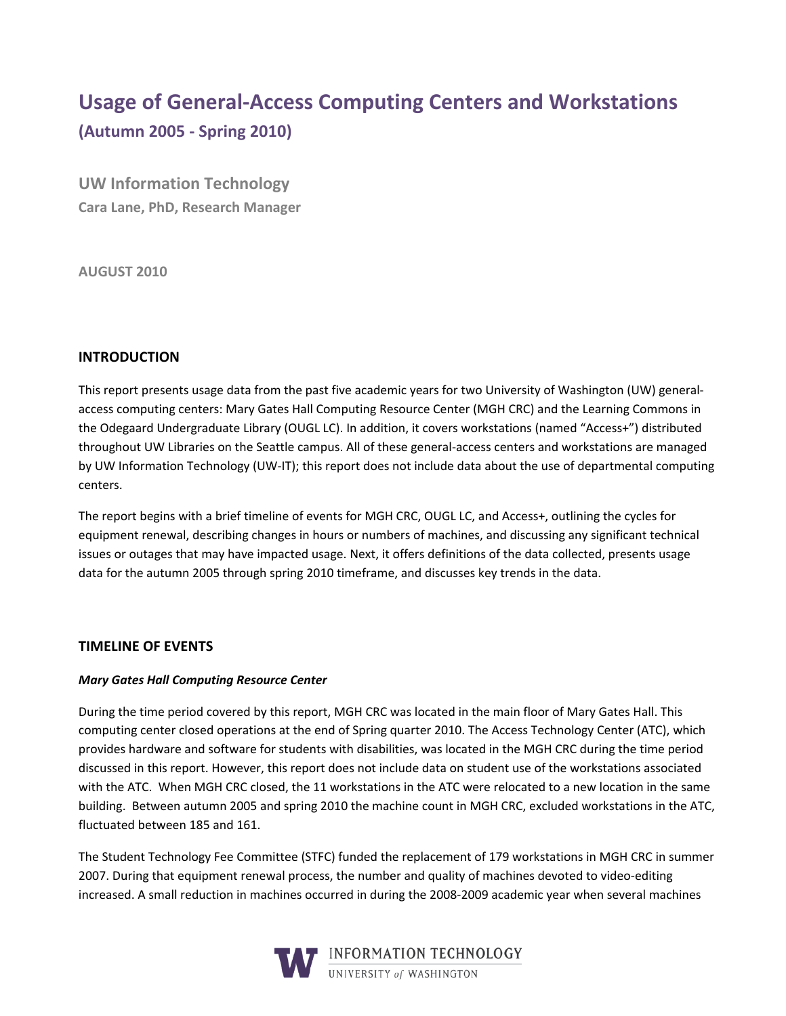# **Usage!of!General-Access!Computing!Centers!and Workstations (Autumn!2005 - Spring!2010)**

**UW Information Technology Cara Lane, PhD, Research Manager** 

**AUGUST!2010**

## **INTRODUCTION**

This report presents usage data from the past five academic years for two University of Washington (UW) generalaccess computing centers: Mary Gates Hall Computing Resource Center (MGH CRC) and the Learning Commons in the Odegaard Undergraduate Library (OUGL LC). In addition, it covers workstations (named "Access+") distributed throughout UW Libraries on the Seattle campus. All of these general-access centers and workstations are managed by UW Information Technology (UW-IT); this report does not include data about the use of departmental computing centers.

The report begins with a brief timeline of events for MGH CRC, OUGL LC, and Access+, outlining the cycles for equipment renewal, describing changes in hours or numbers of machines, and discussing any significant technical issues or outages that may have impacted usage. Next, it offers definitions of the data collected, presents usage data for the autumn 2005 through spring 2010 timeframe, and discusses key trends in the data.

## **TIMELINE OF!EVENTS**

## *Mary%Gates Hall%Computing%Resource%Center*

During the time period covered by this report, MGH CRC was located in the main floor of Mary Gates Hall. This computing center closed operations at the end of Spring quarter 2010. The Access Technology Center (ATC), which provides hardware and software for students with disabilities, was located in the MGH CRC during the time period discussed in this report. However, this report does not include data on student use of the workstations associated with the ATC. When MGH CRC closed, the 11 workstations in the ATC were relocated to a new location in the same building. Between autumn 2005 and spring 2010 the machine count in MGH CRC, excluded workstations in the ATC, fluctuated between 185 and 161.

The Student Technology Fee Committee (STFC) funded the replacement of 179 workstations in MGH CRC in summer 2007. During that equipment renewal process, the number and quality of machines devoted to video-editing increased. A small reduction in machines occurred in during the 2008-2009 academic year when several machines

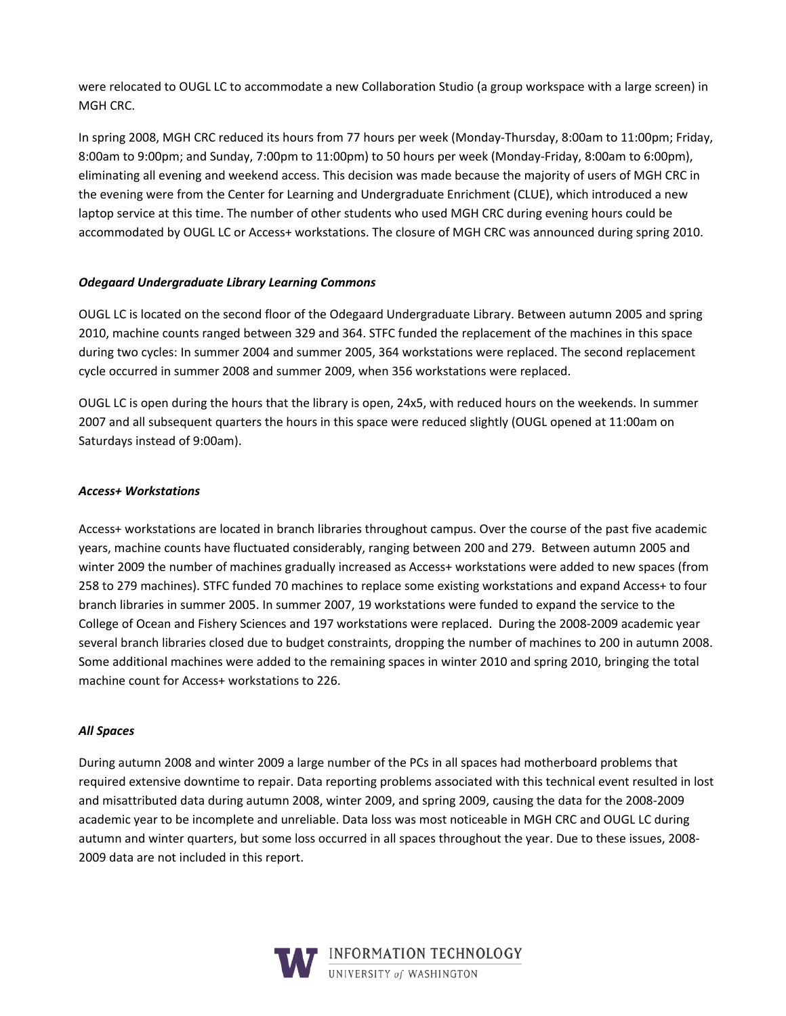were relocated to OUGL LC to accommodate a new Collaboration Studio (a group workspace with a large screen) in MGH CRC.

In spring 2008, MGH CRC reduced its hours from 77 hours per week (Monday-Thursday, 8:00am to 11:00pm; Friday, 8:00am to 9:00pm; and Sunday, 7:00pm to 11:00pm) to 50 hours per week (Monday-Friday, 8:00am to 6:00pm), eliminating all evening and weekend access. This decision was made because the majority of users of MGH CRC in the evening were from the Center for Learning and Undergraduate Enrichment (CLUE), which introduced a new laptop service at this time. The number of other students who used MGH CRC during evening hours could be accommodated by OUGL LC or Access+ workstations. The closure of MGH CRC was announced during spring 2010.

## *Odegaard%Undergraduate%Library%Learning%Commons*

OUGL LC is located on the second floor of the Odegaard Undergraduate Library. Between autumn 2005 and spring 2010, machine counts ranged between 329 and 364. STFC funded the replacement of the machines in this space during two cycles: In summer 2004 and summer 2005, 364 workstations were replaced. The second replacement cycle occurred in summer 2008 and summer 2009, when 356 workstations were replaced.

OUGL LC is open during the hours that the library is open, 24x5, with reduced hours on the weekends. In summer 2007 and all subsequent quarters the hours in this space were reduced slightly (OUGL opened at 11:00am on Saturdays instead of 9:00am).

#### *Access+%Workstations*

Access+ workstations are located in branch libraries throughout campus. Over the course of the past five academic years, machine counts have fluctuated considerably, ranging between 200 and 279. Between autumn 2005 and winter 2009 the number of machines gradually increased as Access+ workstations were added to new spaces (from 258 to 279 machines). STFC funded 70 machines to replace some existing workstations and expand Access+ to four branch libraries in summer 2005. In summer 2007, 19 workstations were funded to expand the service to the College of Ocean and Fishery Sciences and 197 workstations were replaced. During the 2008-2009 academic year several branch libraries closed due to budget constraints, dropping the number of machines to 200 in autumn 2008. Some additional machines were added to the remaining spaces in winter 2010 and spring 2010, bringing the total machine count for Access+ workstations to 226.

#### *All%Spaces*

During autumn 2008 and winter 2009 a large number of the PCs in all spaces had motherboard problems that required extensive downtime to repair. Data reporting problems associated with this technical event resulted in lost and misattributed data during autumn 2008, winter 2009, and spring 2009, causing the data for the 2008-2009 academic year to be incomplete and unreliable. Data loss was most noticeable in MGH CRC and OUGL LC during autumn and winter quarters, but some loss occurred in all spaces throughout the year. Due to these issues, 2008-2009 data are not included in this report.

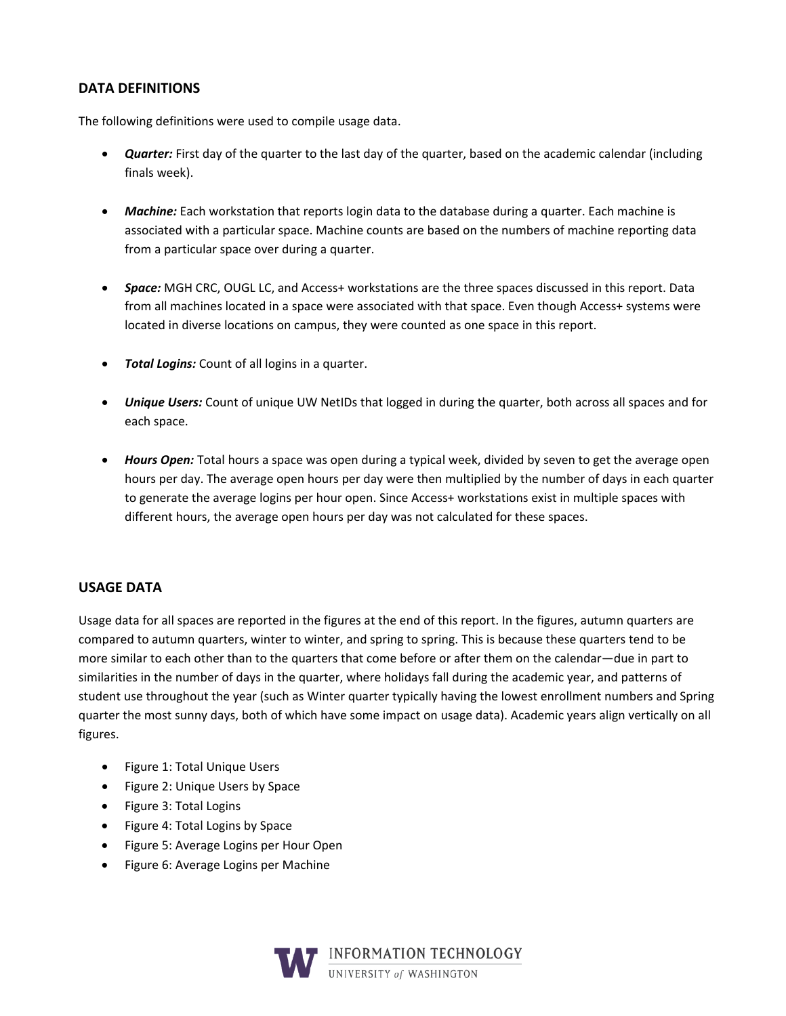## DATA DEFINITIONS

The following definitions were used to compile usage data.

- **Quarter:** First day of the quarter to the last day of the quarter, based on the academic calendar (including finals week).
- *Machine:* Each workstation that reports login data to the database during a quarter. Each machine is associated with a particular space. Machine counts are based on the numbers of machine reporting data from a particular space over during a quarter.
- **Space:** MGH CRC, OUGL LC, and Access+ workstations are the three spaces discussed in this report. Data from all machines located in a space were associated with that space. Even though Access+ systems were located in diverse locations on campus, they were counted as one space in this report.
- **Total Logins:** Count of all logins in a quarter.
- Unique Users: Count of unique UW NetIDs that logged in during the quarter, both across all spaces and for each space.
- Hours Open: Total hours a space was open during a typical week, divided by seven to get the average open hours per day. The average open hours per day were then multiplied by the number of days in each quarter to generate the average logins per hour open. Since Access+ workstations exist in multiple spaces with different hours, the average open hours per day was not calculated for these spaces.

## **USAGE DATA**

Usage data for all spaces are reported in the figures at the end of this report. In the figures, autumn quarters are compared to autumn quarters, winter to winter, and spring to spring. This is because these quarters tend to be more similar to each other than to the quarters that come before or after them on the calendar—due in part to similarities in the number of days in the quarter, where holidays fall during the academic year, and patterns of student use throughout the year (such as Winter quarter typically having the lowest enrollment numbers and Spring quarter the most sunny days, both of which have some impact on usage data). Academic years align vertically on all figures.

- Figure 1: Total Unique Users
- Figure 2: Unique Users by Space
- Figure 3: Total Logins
- Figure 4: Total Logins by Space
- Figure 5: Average Logins per Hour Open
- Figure 6: Average Logins per Machine

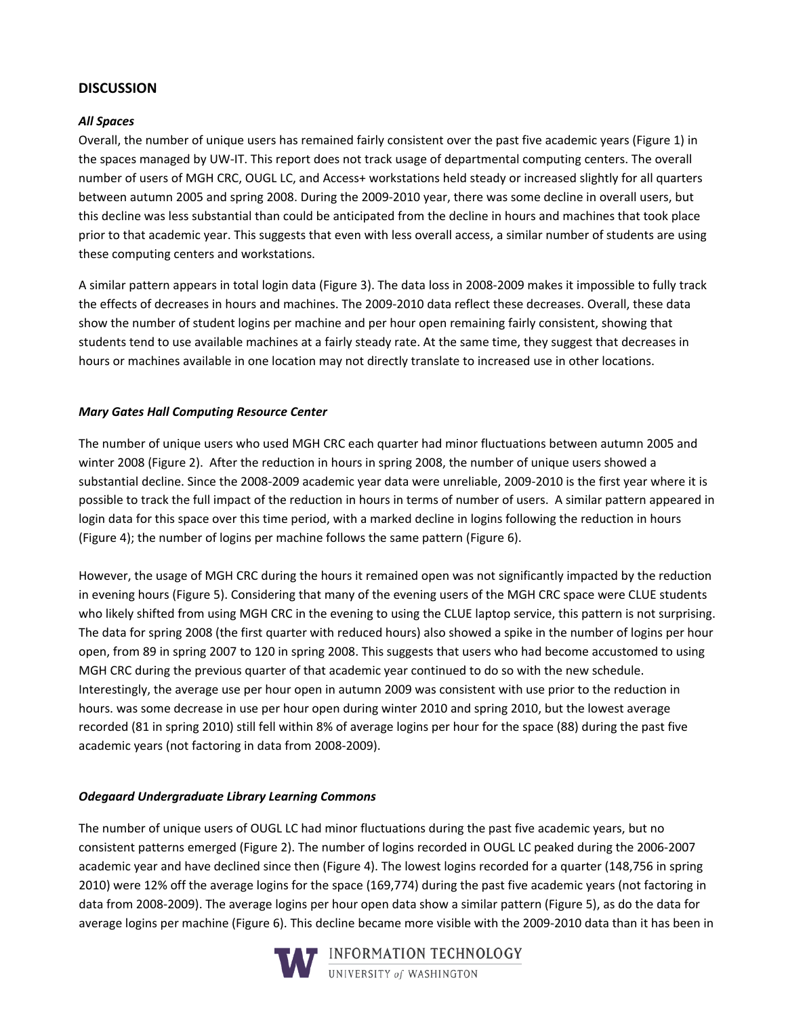## **DISCUSSION!**

#### *All%Spaces*

Overall, the number of unique users has remained fairly consistent over the past five academic years (Figure 1) in the spaces managed by UW-IT. This report does not track usage of departmental computing centers. The overall number of users of MGH CRC, OUGL LC, and Access+ workstations held steady or increased slightly for all quarters between autumn 2005 and spring 2008. During the 2009-2010 year, there was some decline in overall users, but this decline was less substantial than could be anticipated from the decline in hours and machines that took place prior to that academic year. This suggests that even with less overall access, a similar number of students are using these computing centers and workstations.

A similar pattern appears in total login data (Figure 3). The data loss in 2008-2009 makes it impossible to fully track the effects of decreases in hours and machines. The 2009-2010 data reflect these decreases. Overall, these data show the number of student logins per machine and per hour open remaining fairly consistent, showing that students tend to use available machines at a fairly steady rate. At the same time, they suggest that decreases in hours or machines available in one location may not directly translate to increased use in other locations.

#### *Mary%Gates%Hall%Computing%Resource%Center*

The number of unique users who used MGH CRC each quarter had minor fluctuations between autumn 2005 and winter 2008 (Figure 2). After the reduction in hours in spring 2008, the number of unique users showed a substantial decline. Since the 2008-2009 academic year data were unreliable, 2009-2010 is the first year where it is possible to track the full impact of the reduction in hours in terms of number of users. A similar pattern appeared in login data for this space over this time period, with a marked decline in logins following the reduction in hours (Figure 4); the number of logins per machine follows the same pattern (Figure 6).

However, the usage of MGH CRC during the hours it remained open was not significantly impacted by the reduction in evening hours (Figure 5). Considering that many of the evening users of the MGH CRC space were CLUE students who likely shifted from using MGH CRC in the evening to using the CLUE laptop service, this pattern is not surprising. The data for spring 2008 (the first quarter with reduced hours) also showed a spike in the number of logins per hour open, from 89 in spring 2007 to 120 in spring 2008. This suggests that users who had become accustomed to using MGH CRC during the previous quarter of that academic year continued to do so with the new schedule. Interestingly, the average use per hour open in autumn 2009 was consistent with use prior to the reduction in hours. was some decrease in use per hour open during winter 2010 and spring 2010, but the lowest average recorded (81 in spring 2010) still fell within 8% of average logins per hour for the space (88) during the past five academic years (not factoring in data from 2008-2009).

## *Odegaard%Undergraduate%Library%Learning%Commons%*

The number of unique users of OUGL LC had minor fluctuations during the past five academic years, but no consistent patterns emerged (Figure 2). The number of logins recorded in OUGL LC peaked during the 2006-2007 academic year and have declined since then (Figure 4). The lowest logins recorded for a quarter (148,756 in spring 2010) were 12% off the average logins for the space (169,774) during the past five academic years (not factoring in data from 2008-2009). The average logins per hour open data show a similar pattern (Figure 5), as do the data for average logins per machine (Figure 6). This decline became more visible with the 2009-2010 data than it has been in

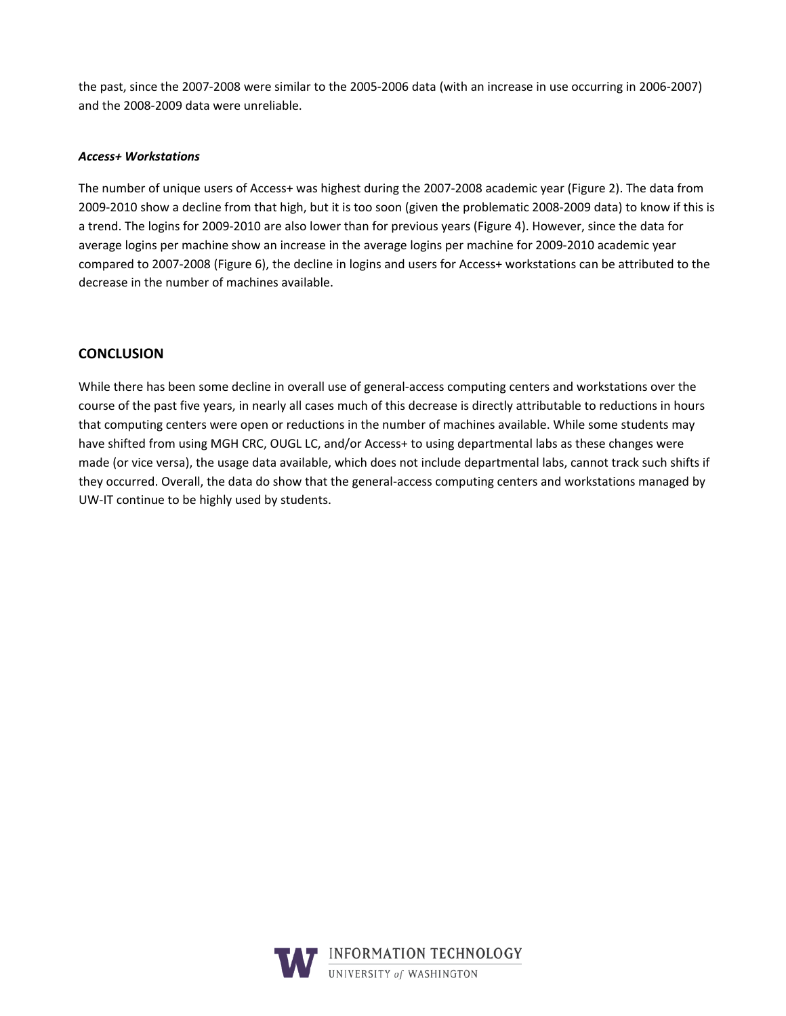the past, since the 2007-2008 were similar to the 2005-2006 data (with an increase in use occurring in 2006-2007) and the 2008-2009 data were unreliable.

#### *Access+%Workstations*

The number of unique users of Access+ was highest during the 2007-2008 academic year (Figure 2). The data from 2009-2010 show a decline from that high, but it is too soon (given the problematic 2008-2009 data) to know if this is a trend. The logins for 2009-2010 are also lower than for previous years (Figure 4). However, since the data for average logins per machine show an increase in the average logins per machine for 2009-2010 academic year compared to 2007-2008 (Figure 6), the decline in logins and users for Access+ workstations can be attributed to the decrease in the number of machines available.

## **CONCLUSION**

While there has been some decline in overall use of general-access computing centers and workstations over the course of the past five years, in nearly all cases much of this decrease is directly attributable to reductions in hours that computing centers were open or reductions in the number of machines available. While some students may have shifted from using MGH CRC, OUGL LC, and/or Access+ to using departmental labs as these changes were made (or vice versa), the usage data available, which does not include departmental labs, cannot track such shifts if they occurred. Overall, the data do show that the general-access computing centers and workstations managed by UW-IT continue to be highly used by students.

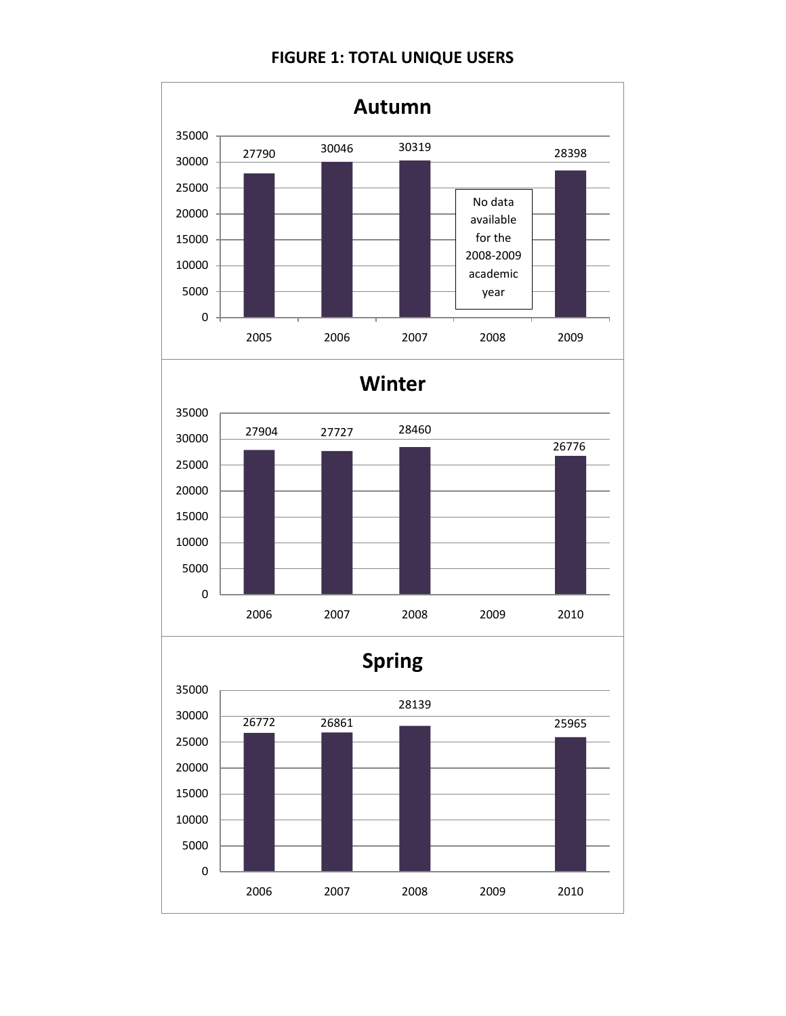# **FIGURE 1: TOTAL UNIQUE USERS**

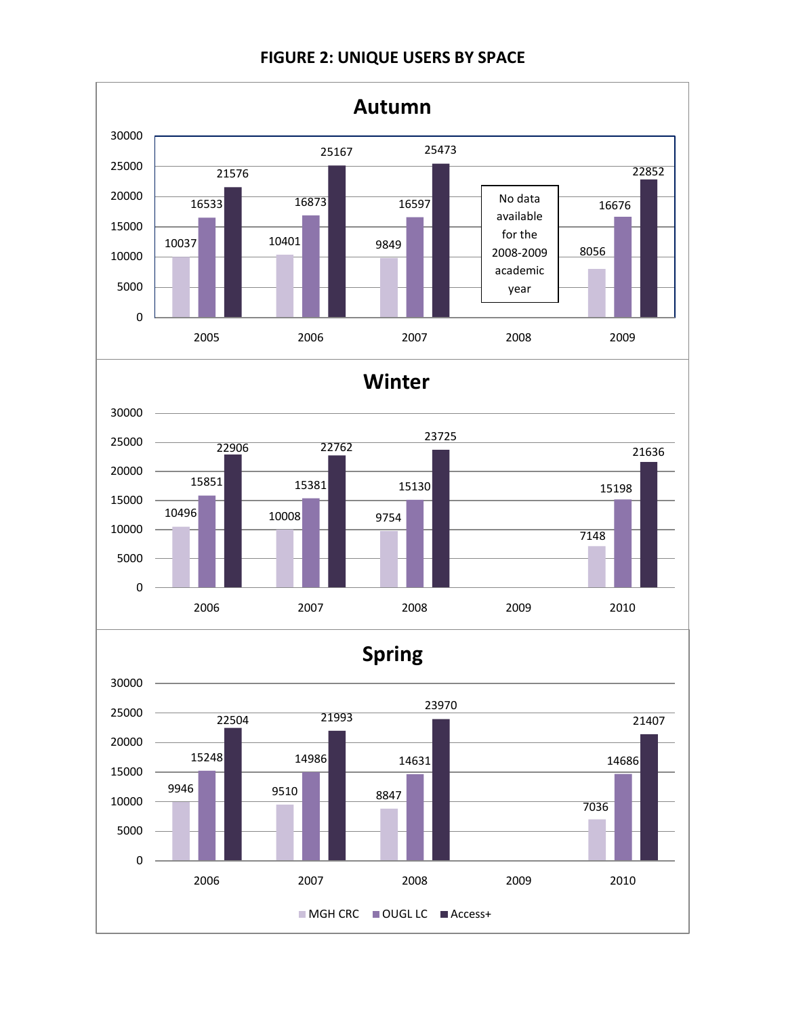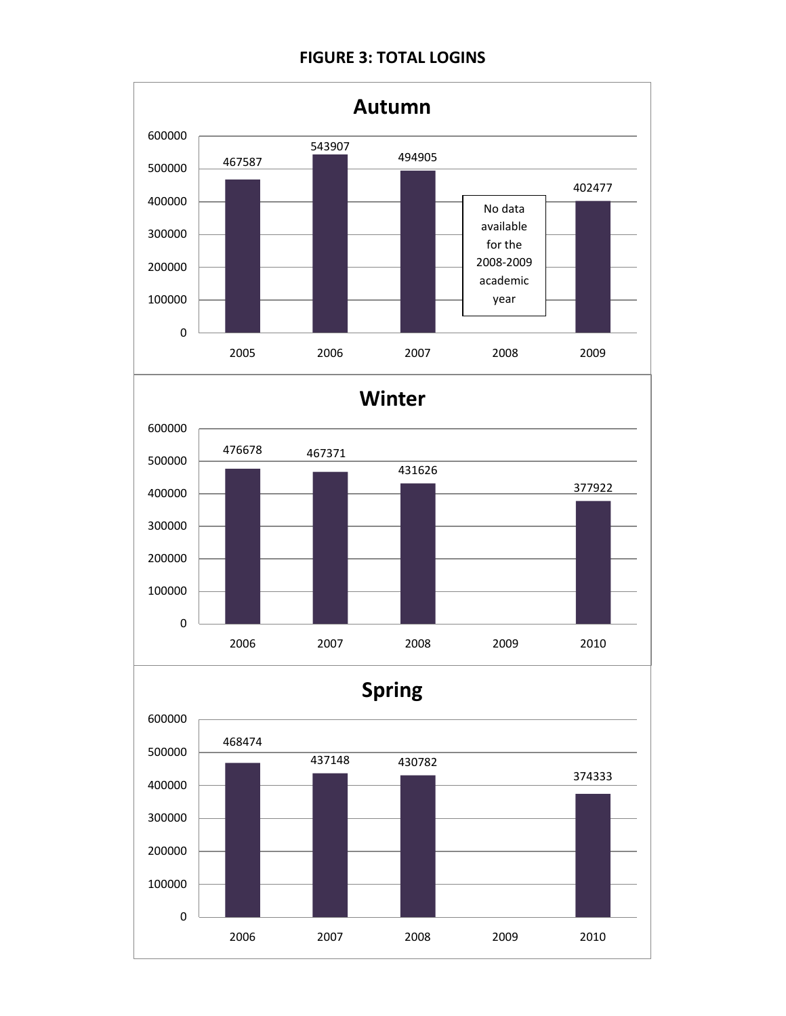# **FIGURE 3: TOTAL LOGINS**

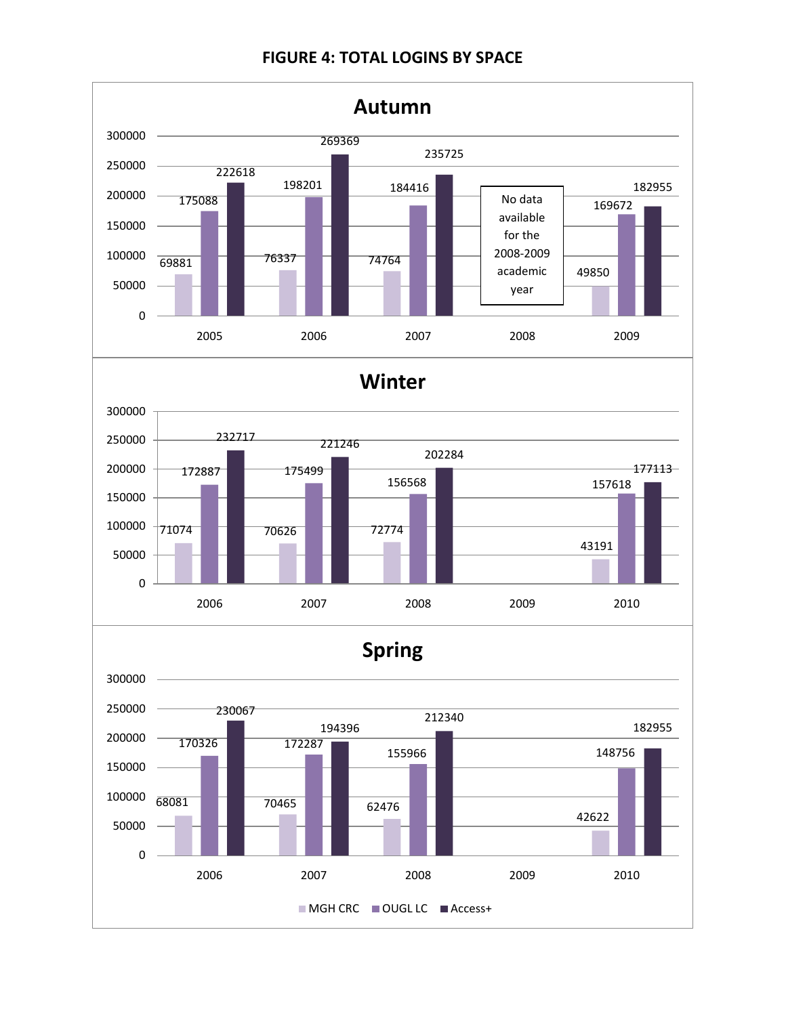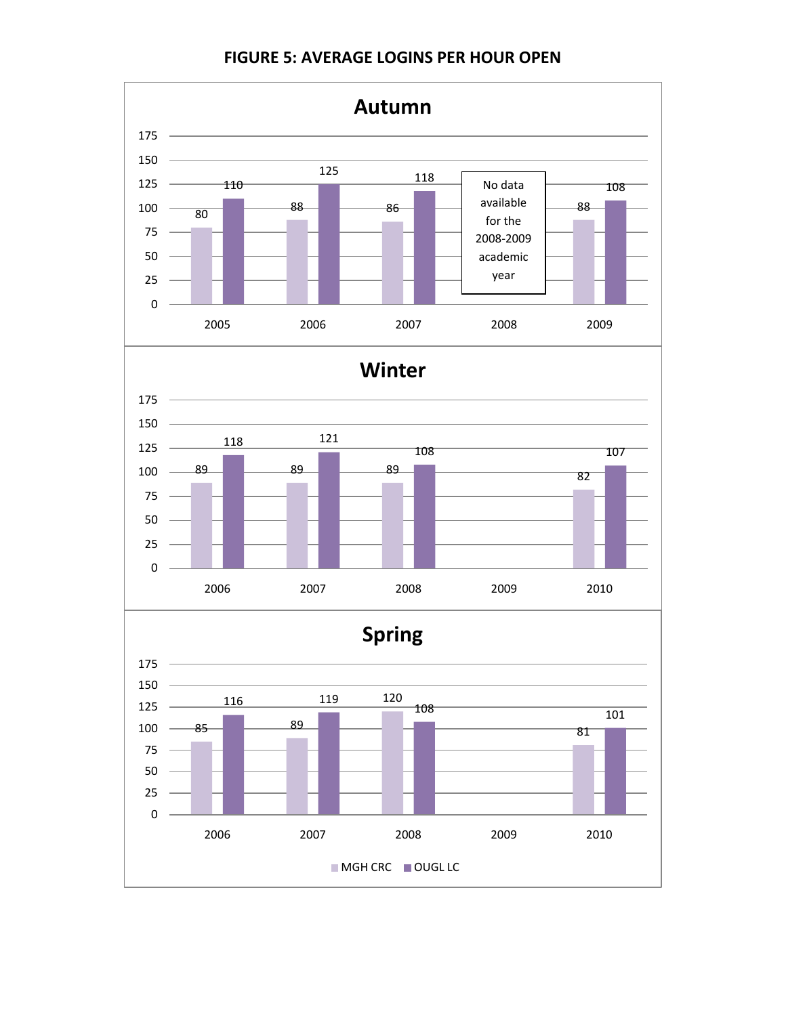

**FIGURE 5: AVERAGE LOGINS PER HOUR OPEN**